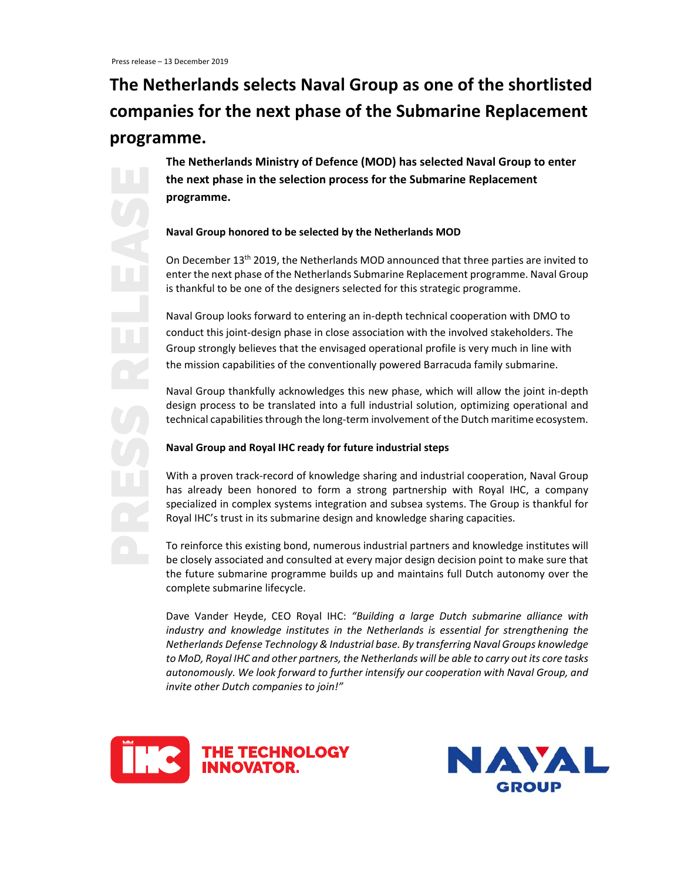# **The Netherlands selects Naval Group as one of the shortlisted companies for the next phase of the Submarine Replacement programme.**

**The Netherlands Ministry of Defence (MOD) has selected Naval Group to enter the next phase in the selection process for the Submarine Replacement programme.**

## **Naval Group honored to be selected by the Netherlands MOD**

On December 13th 2019, the Netherlands MOD announced that three parties are invited to enter the next phase of the Netherlands Submarine Replacement programme. Naval Group is thankful to be one of the designers selected for this strategic programme.

Naval Group looks forward to entering an in‐depth technical cooperation with DMO to conduct this joint‐design phase in close association with the involved stakeholders. The Group strongly believes that the envisaged operational profile is very much in line with the mission capabilities of the conventionally powered Barracuda family submarine.

Naval Group thankfully acknowledges this new phase, which will allow the joint in‐depth design process to be translated into a full industrial solution, optimizing operational and technical capabilitiesthrough the long‐term involvement of the Dutch maritime ecosystem.

## **Naval Group and Royal IHC ready for future industrial steps**

With a proven track-record of knowledge sharing and industrial cooperation, Naval Group has already been honored to form a strong partnership with Royal IHC, a company specialized in complex systems integration and subsea systems. The Group is thankful for Royal IHC's trust in its submarine design and knowledge sharing capacities.

To reinforce this existing bond, numerous industrial partners and knowledge institutes will be closely associated and consulted at every major design decision point to make sure that the future submarine programme builds up and maintains full Dutch autonomy over the complete submarine lifecycle.

Dave Vander Heyde, CEO Royal IHC: *"Building a large Dutch submarine alliance with industry and knowledge institutes in the Netherlands is essential for strengthening the Netherlands Defense Technology & Industrial base. By transferring Naval Groups knowledge to MoD, Royal IHC and other partners, the Netherlands will be able to carry out its core tasks autonomously. We look forward to further intensify our cooperation with Naval Group, and invite other Dutch companies to join!"*